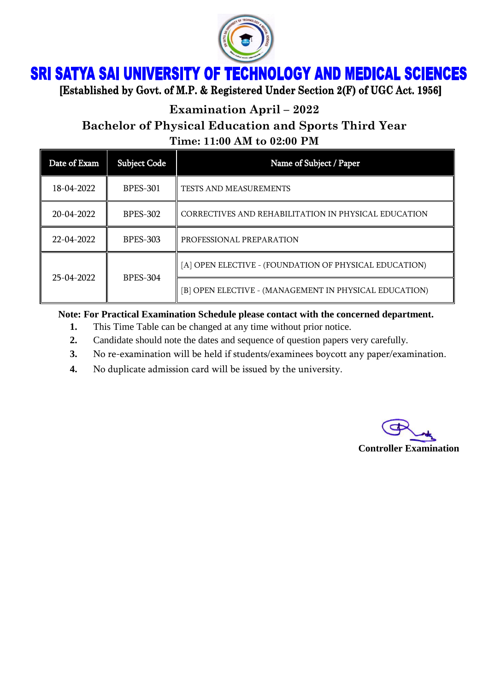

## **SRI SATYA SAI UNIVERSITY OF TECHNOLOGY AND MEDICAL SCIENCES**

[Established by Govt. of M.P. & Registered Under Section 2(F) of UGC Act. 1956]

**Examination April – 2022**

## **Bachelor of Physical Education and Sports Third Year**

**Time: 11:00 AM to 02:00 PM**

| Date of Exam | <b>Subject Code</b> | Name of Subject / Paper                                |
|--------------|---------------------|--------------------------------------------------------|
| 18-04-2022   | <b>BPES-301</b>     | <b>TESTS AND MEASUREMENTS</b>                          |
| 20-04-2022   | <b>BPES-302</b>     | CORRECTIVES AND REHABILITATION IN PHYSICAL EDUCATION   |
| 22-04-2022   | <b>BPES-303</b>     | PROFESSIONAL PREPARATION                               |
| 25-04-2022   | <b>BPES-304</b>     | [A] OPEN ELECTIVE - (FOUNDATION OF PHYSICAL EDUCATION) |
|              |                     | [B] OPEN ELECTIVE - (MANAGEMENT IN PHYSICAL EDUCATION) |

**Note: For Practical Examination Schedule please contact with the concerned department.**

- **1.** This Time Table can be changed at any time without prior notice.
- **2.** Candidate should note the dates and sequence of question papers very carefully.
- **3.** No re-examination will be held if students/examinees boycott any paper/examination.
- **4.** No duplicate admission card will be issued by the university.

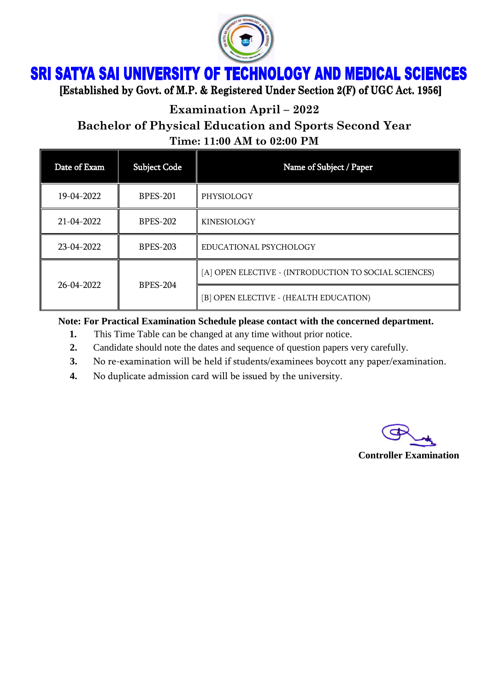

## **SRI SATYA SAI UNIVERSITY OF TECHNOLOGY AND MEDICAL SCIENCES**

[Established by Govt. of M.P. & Registered Under Section 2(F) of UGC Act. 1956]

**Examination April – 2022**

**Bachelor of Physical Education and Sports Second Year**

**Time: 11:00 AM to 02:00 PM**

| Date of Exam | <b>Subject Code</b> | Name of Subject / Paper                               |
|--------------|---------------------|-------------------------------------------------------|
| 19-04-2022   | <b>BPES-201</b>     | PHYSIOLOGY                                            |
| 21-04-2022   | <b>BPES-202</b>     | <b>KINESIOLOGY</b>                                    |
| 23-04-2022   | <b>BPES-203</b>     | EDUCATIONAL PSYCHOLOGY                                |
|              | <b>BPES-204</b>     | [A] OPEN ELECTIVE - (INTRODUCTION TO SOCIAL SCIENCES) |
| 26-04-2022   |                     | [B] OPEN ELECTIVE - (HEALTH EDUCATION)                |

**Note: For Practical Examination Schedule please contact with the concerned department.**

- **1.** This Time Table can be changed at any time without prior notice.
- **2.** Candidate should note the dates and sequence of question papers very carefully.
- **3.** No re-examination will be held if students/examinees boycott any paper/examination.
- **4.** No duplicate admission card will be issued by the university.



**Controller Examination**